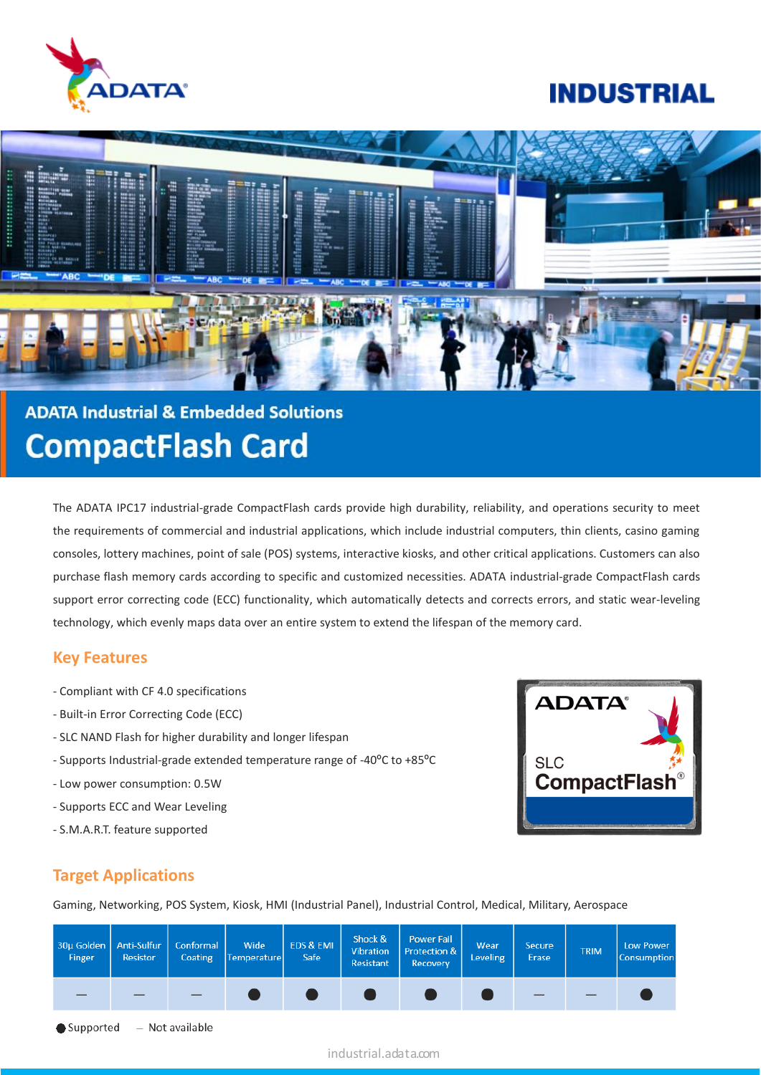

## **INDUSTRIAL**



# **ADATA Industrial & Embedded Solutions CompactFlash Card**

The ADATA IPC17 industrial-grade CompactFlash cards provide high durability, reliability, and operations security to meet the requirements of commercial and industrial applications, which include industrial computers, thin clients, casino gaming consoles, lottery machines, point of sale (POS) systems, interactive kiosks, and other critical applications. Customers can also purchase flash memory cards according to specific and customized necessities. ADATA industrial-grade CompactFlash cards support error correcting code (ECC) functionality, which automatically detects and corrects errors, and static wear-leveling technology, which evenly maps data over an entire system to extend the lifespan of the memory card.

#### **Key Features**

- Compliant with CF 4.0 specifications
- Built-in Error Correcting Code (ECC)
- SLC NAND Flash for higher durability and longer lifespan
- Supports Industrial-grade extended temperature range of -40ºC to +85ºC
- Low power consumption: 0.5W
- Supports ECC and Wear Leveling
- S.M.A.R.T. feature supported



## **Target Applications**

Gaming, Networking, POS System, Kiosk, HMI (Industrial Panel), Industrial Control, Medical, Military, Aerospace

| 30µ Golden   Anti-Sulfur  <br>Finger | <b>Resistor</b> | Conformal  <br>Coating | Wide<br>Temperaturel | EDS & EMI<br>Safe | Shock &<br>Vibration<br>Resistant | <b>Power Fail</b><br>Protection &<br>Recovery | Wear<br><b>Leveling</b> | <b>Secure</b><br>Erase | <b>TRIM</b> | <b>Low Power</b><br><b>Consumption</b> |
|--------------------------------------|-----------------|------------------------|----------------------|-------------------|-----------------------------------|-----------------------------------------------|-------------------------|------------------------|-------------|----------------------------------------|
|                                      |                 |                        |                      |                   |                                   |                                               |                         |                        |             |                                        |

- Not available Supported

industrial.adata.com